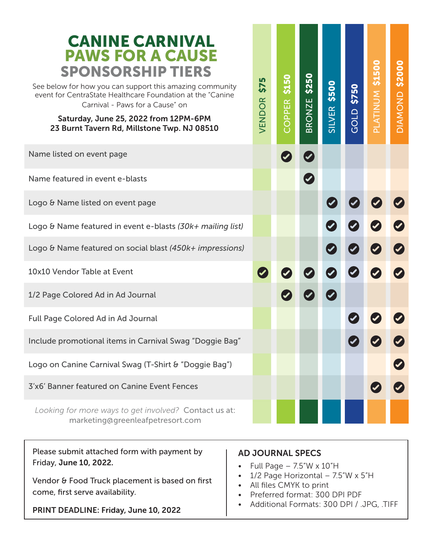| <b>CANINE CARNIVAL</b><br><b>PAWS FOR A CAUSE</b><br><b>SPONSORSHIP TIERS</b><br>See below for how you can support this amazing community<br>event for CentraState Healthcare Foundation at the "Canine<br>Carnival - Paws for a Cause" on<br>Saturday, June 25, 2022 from 12PM-6PM<br>23 Burnt Tavern Rd, Millstone Twp. NJ 08510 | <u> LN</u><br>57<br>VENDOR | \$150<br>œ<br>靣<br>COPPI | \$250<br><b>BRONZE</b> | \$500<br>SILVER | \$750<br>GOLD | PLATINUM \$1500 | \$2000<br><b>OIAMOND</b> |
|------------------------------------------------------------------------------------------------------------------------------------------------------------------------------------------------------------------------------------------------------------------------------------------------------------------------------------|----------------------------|--------------------------|------------------------|-----------------|---------------|-----------------|--------------------------|
| Name listed on event page                                                                                                                                                                                                                                                                                                          |                            |                          |                        |                 |               |                 |                          |
| Name featured in event e-blasts                                                                                                                                                                                                                                                                                                    |                            |                          |                        |                 |               |                 |                          |
| Logo & Name listed on event page                                                                                                                                                                                                                                                                                                   |                            |                          |                        |                 |               |                 |                          |
| Logo & Name featured in event e-blasts (30k+ mailing list)                                                                                                                                                                                                                                                                         |                            |                          |                        |                 |               |                 |                          |
| Logo & Name featured on social blast (450k+ impressions)                                                                                                                                                                                                                                                                           |                            |                          |                        |                 |               |                 |                          |
| 10x10 Vendor Table at Event                                                                                                                                                                                                                                                                                                        |                            |                          |                        |                 |               |                 |                          |
| 1/2 Page Colored Ad in Ad Journal                                                                                                                                                                                                                                                                                                  |                            |                          |                        |                 |               |                 |                          |
| <b>Full Page Colored Ad in Ad Journal</b>                                                                                                                                                                                                                                                                                          |                            |                          |                        |                 |               |                 |                          |
| Include promotional items in Carnival Swag "Doggie Bag"                                                                                                                                                                                                                                                                            |                            |                          |                        |                 |               |                 |                          |
| Logo on Canine Carnival Swag (T-Shirt & "Doggie Bag")                                                                                                                                                                                                                                                                              |                            |                          |                        |                 |               |                 |                          |
| 3'x6' Banner featured on Canine Event Fences                                                                                                                                                                                                                                                                                       |                            |                          |                        |                 |               |                 |                          |
| Looking for more ways to get involved? Contact us at:<br>marketing@greenleafpetresort.com                                                                                                                                                                                                                                          |                            |                          |                        |                 |               |                 |                          |

Please submit attached form with payment by Friday, June 10, 2022.

Vendor & Food Truck placement is based on first come, first serve availability.

PRINT DEADLINE: Friday, June 10, 2022

## AD JOURNAL SPECS

- Full Page  $-7.5$ "W  $\times$  10"H
- 1/2 Page Horizontal 7.5"W x 5"H
- All files CMYK to print
- Preferred format: 300 DPI PDF
- Additional Formats: 300 DPI / .JPG, .TIFF